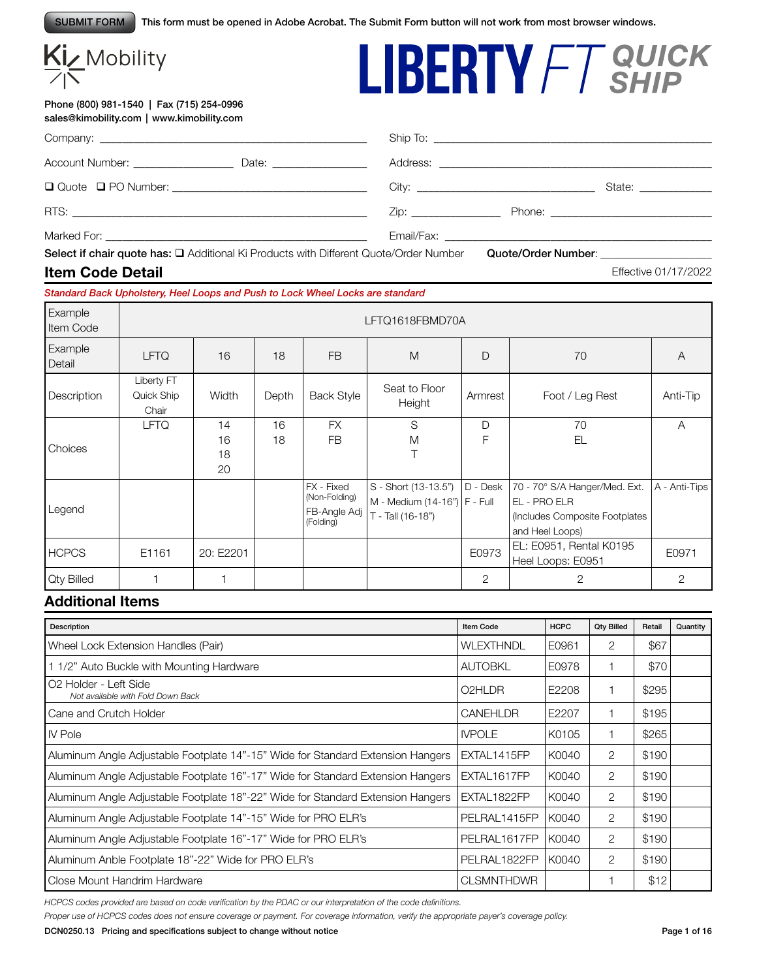SUBMIT FORM This form must be opened in Adobe Acrobat. The Submit Form button will not work from most browser windows.

# Kiz Mobility

#### Phone (800) 981-1540 | Fax (715) 254-0996 sales@kimobility.com | www.kimobility.com

|                        | State: _______________ |
|------------------------|------------------------|
| Zip: _________________ |                        |
|                        |                        |

Select if chair quote has:  $\square$  Additional Ki Products with Different Quote/Order Number Quote/Order Number:

#### **Item Code Detail**

#### *Standard Back Upholstery, Heel Loops and Push to Lock Wheel Locks are standard*

| Example<br>Item Code | LFTQ1618FBMD70A                   |                      |          |                                                          |                                                                             |              |                                                                                                    |                |  |
|----------------------|-----------------------------------|----------------------|----------|----------------------------------------------------------|-----------------------------------------------------------------------------|--------------|----------------------------------------------------------------------------------------------------|----------------|--|
| Example<br>Detail    | <b>LFTQ</b>                       | 16                   | 18       | <b>FB</b>                                                | M                                                                           | $\mathsf{D}$ | 70                                                                                                 | A              |  |
| Description          | Liberty FT<br>Quick Ship<br>Chair | Width                | Depth    | <b>Back Style</b>                                        | Seat to Floor<br>Height                                                     | Armrest      | Foot / Leg Rest                                                                                    | Anti-Tip       |  |
| Choices              | <b>LFTQ</b>                       | 14<br>16<br>18<br>20 | 16<br>18 | <b>FX</b><br><b>FB</b>                                   | S<br>M                                                                      | D<br>F       | 70<br>EL                                                                                           | A              |  |
| Legend               |                                   |                      |          | FX - Fixed<br>(Non-Folding)<br>FB-Angle Adj<br>(Folding) | S - Short (13-13.5")<br>M - Medium (14-16")   F - Full<br>T - Tall (16-18") | D - Desk     | 70 - 70° S/A Hanger/Med. Ext.<br>EL - PRO ELR<br>(Includes Composite Footplates<br>and Heel Loops) | A - Anti-Tips  |  |
| <b>HCPCS</b>         | E1161                             | 20: E2201            |          |                                                          |                                                                             | E0973        | EL: E0951, Rental K0195<br>Heel Loops: E0951                                                       | E0971          |  |
| <b>Qty Billed</b>    |                                   |                      |          |                                                          |                                                                             | 2            | 2                                                                                                  | $\overline{2}$ |  |

#### **Additional Items**

| Description                                                                     | <b>Item Code</b>    | <b>HCPC</b> | <b>Qty Billed</b> | Retail | Quantity |
|---------------------------------------------------------------------------------|---------------------|-------------|-------------------|--------|----------|
| Wheel Lock Extension Handles (Pair)                                             | <b>WLEXTHNDL</b>    | E0961       | 2                 | \$67   |          |
| 11/2" Auto Buckle with Mounting Hardware                                        | <b>AUTOBKL</b>      | E0978       |                   | \$70   |          |
| O <sub>2</sub> Holder - Left Side<br>Not available with Fold Down Back          | O <sub>2</sub> HLDR | E2208       |                   | \$295  |          |
| Cane and Crutch Holder                                                          | <b>CANEHLDR</b>     | E2207       |                   | \$195  |          |
| <b>IV Pole</b>                                                                  | <b>IVPOLE</b>       | K0105       |                   | \$265  |          |
| Aluminum Angle Adjustable Footplate 14"-15" Wide for Standard Extension Hangers | EXTAL1415FP         | K0040       | 2                 | \$190  |          |
| Aluminum Angle Adjustable Footplate 16"-17" Wide for Standard Extension Hangers | EXTAL1617FP         | K0040       | 2                 | \$190  |          |
| Aluminum Angle Adjustable Footplate 18"-22" Wide for Standard Extension Hangers | EXTAL1822FP         | K0040       | 2                 | \$190  |          |
| Aluminum Angle Adjustable Footplate 14"-15" Wide for PRO ELR's                  | PELRAL1415FP        | K0040       | 2                 | \$190  |          |
| Aluminum Angle Adjustable Footplate 16"-17" Wide for PRO ELR's                  | PELRAL1617FP        | K0040       | 2                 | \$190  |          |
| Aluminum Anble Footplate 18"-22" Wide for PRO ELR's                             | PELRAL1822FP        | K0040       | 2                 | \$190  |          |
| Close Mount Handrim Hardware                                                    | <b>CLSMNTHDWR</b>   |             |                   | \$12   |          |

*HCPCS codes provided are based on code verification by the PDAC or our interpretation of the code definitions.*

*Proper use of HCPCS codes does not ensure coverage or payment. For coverage information, verify the appropriate payer's coverage policy.*



LIBERTY FT QUICK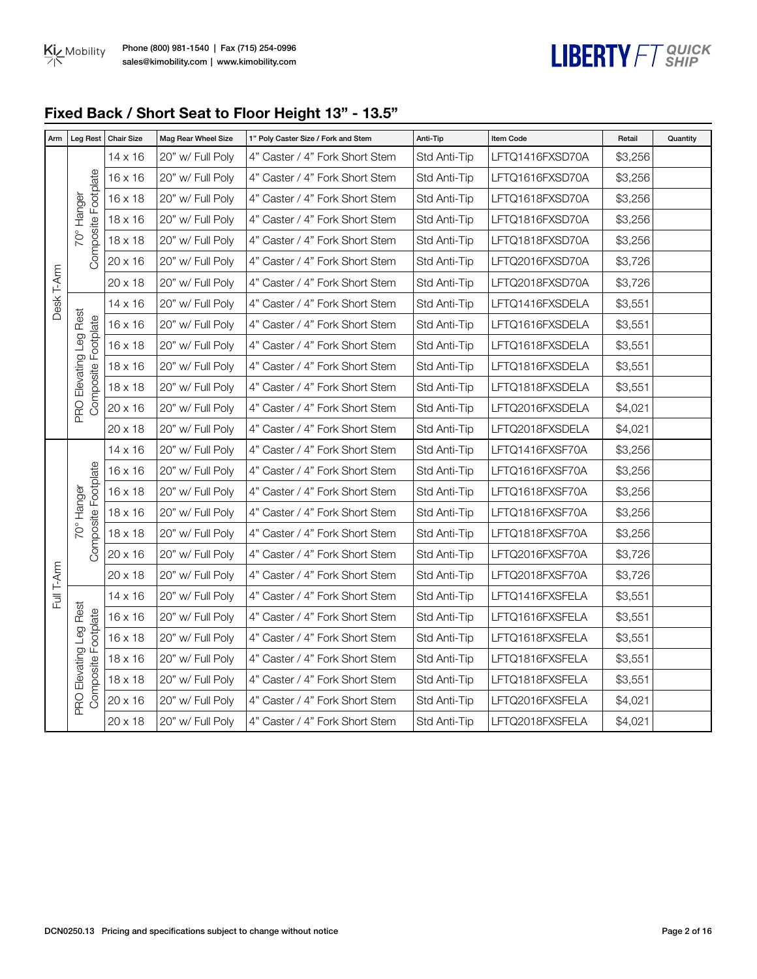

## **Fixed Back / Short Seat to Floor Height 13" - 13.5"**

| Arm        | <b>Leg Rest</b>                               | <b>Chair Size</b> | Mag Rear Wheel Size | 1" Poly Caster Size / Fork and Stem | Anti-Tip     | <b>Item Code</b> | Retail  | Quantity |
|------------|-----------------------------------------------|-------------------|---------------------|-------------------------------------|--------------|------------------|---------|----------|
|            |                                               | $14 \times 16$    | 20" w/ Full Poly    | 4" Caster / 4" Fork Short Stem      | Std Anti-Tip | LFTQ1416FXSD70A  | \$3,256 |          |
|            |                                               | $16 \times 16$    | 20" w/ Full Poly    | 4" Caster / 4" Fork Short Stem      | Std Anti-Tip | LFTQ1616FXSD70A  | \$3,256 |          |
|            |                                               | 16 x 18           | 20" w/ Full Poly    | 4" Caster / 4" Fork Short Stem      | Std Anti-Tip | LFTQ1618FXSD70A  | \$3,256 |          |
|            | 70° Hanger                                    | 18 x 16           | 20" w/ Full Poly    | 4" Caster / 4" Fork Short Stem      | Std Anti-Tip | LFTQ1816FXSD70A  | \$3,256 |          |
|            | Composite Footplate                           | $18 \times 18$    | 20" w/ Full Poly    | 4" Caster / 4" Fork Short Stem      | Std Anti-Tip | LFTQ1818FXSD70A  | \$3,256 |          |
|            |                                               | 20 x 16           | 20" w/ Full Poly    | 4" Caster / 4" Fork Short Stem      | Std Anti-Tip | LFTQ2016FXSD70A  | \$3,726 |          |
|            |                                               | $20 \times 18$    | 20" w/ Full Poly    | 4" Caster / 4" Fork Short Stem      | Std Anti-Tip | LFTQ2018FXSD70A  | \$3,726 |          |
| Desk T-Arm |                                               | 14 x 16           | 20" w/ Full Poly    | 4" Caster / 4" Fork Short Stem      | Std Anti-Tip | LFTQ1416FXSDELA  | \$3,551 |          |
|            |                                               | $16 \times 16$    | 20" w/ Full Poly    | 4" Caster / 4" Fork Short Stem      | Std Anti-Tip | LFTQ1616FXSDELA  | \$3,551 |          |
|            | PRO Elevating Leg Rest<br>Composite Footplate | 16 x 18           | 20" w/ Full Poly    | 4" Caster / 4" Fork Short Stem      | Std Anti-Tip | LFTQ1618FXSDELA  | \$3,551 |          |
|            |                                               | 18 x 16           | 20" w/ Full Poly    | 4" Caster / 4" Fork Short Stem      | Std Anti-Tip | LFTQ1816FXSDELA  | \$3,551 |          |
|            |                                               | 18 x 18           | 20" w/ Full Poly    | 4" Caster / 4" Fork Short Stem      | Std Anti-Tip | LFTQ1818FXSDELA  | \$3,551 |          |
|            |                                               | 20 x 16           | 20" w/ Full Poly    | 4" Caster / 4" Fork Short Stem      | Std Anti-Tip | LFTQ2016FXSDELA  | \$4,021 |          |
|            |                                               | $20 \times 18$    | 20" w/ Full Poly    | 4" Caster / 4" Fork Short Stem      | Std Anti-Tip | LFTQ2018FXSDELA  | \$4,021 |          |
|            |                                               | 14 x 16           | 20" w/ Full Poly    | 4" Caster / 4" Fork Short Stem      | Std Anti-Tip | LFTQ1416FXSF70A  | \$3,256 |          |
|            |                                               | 16 x 16           | 20" w/ Full Poly    | 4" Caster / 4" Fork Short Stem      | Std Anti-Tip | LFTQ1616FXSF70A  | \$3,256 |          |
|            | Composite Footplate                           | 16 x 18           | 20" w/ Full Poly    | 4" Caster / 4" Fork Short Stem      | Std Anti-Tip | LFTQ1618FXSF70A  | \$3,256 |          |
|            | 70° Hanger                                    | 18 x 16           | 20" w/ Full Poly    | 4" Caster / 4" Fork Short Stem      | Std Anti-Tip | LFTQ1816FXSF70A  | \$3,256 |          |
|            |                                               | $18 \times 18$    | 20" w/ Full Poly    | 4" Caster / 4" Fork Short Stem      | Std Anti-Tip | LFTQ1818FXSF70A  | \$3,256 |          |
|            |                                               | 20 x 16           | 20" w/ Full Poly    | 4" Caster / 4" Fork Short Stem      | Std Anti-Tip | LFTQ2016FXSF70A  | \$3,726 |          |
|            |                                               | 20 x 18           | 20" w/ Full Poly    | 4" Caster / 4" Fork Short Stem      | Std Anti-Tip | LFTQ2018FXSF70A  | \$3,726 |          |
| Full T-Arm |                                               | 14 x 16           | 20" w/ Full Poly    | 4" Caster / 4" Fork Short Stem      | Std Anti-Tip | LFTQ1416FXSFELA  | \$3,551 |          |
|            |                                               | 16 x 16           | 20" w/ Full Poly    | 4" Caster / 4" Fork Short Stem      | Std Anti-Tip | LFTQ1616FXSFELA  | \$3,551 |          |
|            |                                               | 16 x 18           | 20" w/ Full Poly    | 4" Caster / 4" Fork Short Stem      | Std Anti-Tip | LFTQ1618FXSFELA  | \$3,551 |          |
|            |                                               | 18 x 16           | 20" w/ Full Poly    | 4" Caster / 4" Fork Short Stem      | Std Anti-Tip | LFTQ1816FXSFELA  | \$3,551 |          |
|            | PRO Elevating Leg Rest<br>Composite Footplate | $18 \times 18$    | 20" w/ Full Poly    | 4" Caster / 4" Fork Short Stem      | Std Anti-Tip | LFTQ1818FXSFELA  | \$3,551 |          |
|            |                                               | 20 x 16           | 20" w/ Full Poly    | 4" Caster / 4" Fork Short Stem      | Std Anti-Tip | LFTQ2016FXSFELA  | \$4,021 |          |
|            |                                               | $20 \times 18$    | 20" w/ Full Poly    | 4" Caster / 4" Fork Short Stem      | Std Anti-Tip | LFTQ2018FXSFELA  | \$4,021 |          |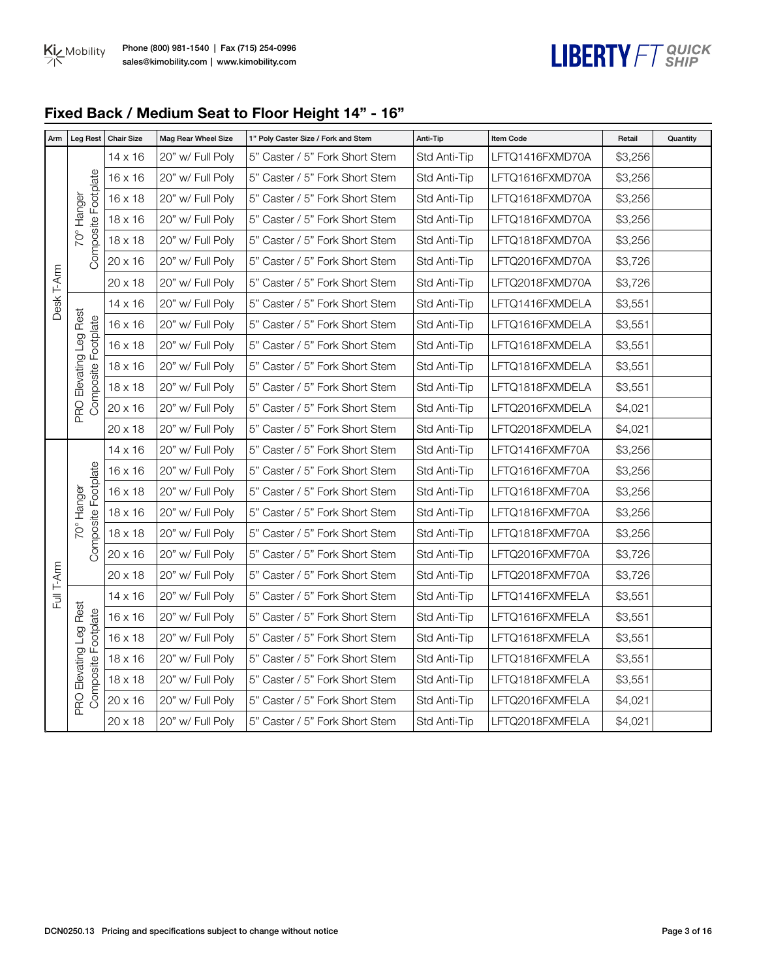

## **Fixed Back / Medium Seat to Floor Height 14" - 16"**

| Arm        | Leg Rest                                      | <b>Chair Size</b> | Mag Rear Wheel Size | 1" Poly Caster Size / Fork and Stem | Anti-Tip     | Item Code       | Retail  | Quantity |
|------------|-----------------------------------------------|-------------------|---------------------|-------------------------------------|--------------|-----------------|---------|----------|
|            |                                               | $14 \times 16$    | 20" w/ Full Poly    | 5" Caster / 5" Fork Short Stem      | Std Anti-Tip | LFTQ1416FXMD70A | \$3,256 |          |
|            |                                               | $16 \times 16$    | 20" w/ Full Poly    | 5" Caster / 5" Fork Short Stem      | Std Anti-Tip | LFTQ1616FXMD70A | \$3,256 |          |
|            | Composite Footplate                           | $16 \times 18$    | 20" w/ Full Poly    | 5" Caster / 5" Fork Short Stem      | Std Anti-Tip | LFTQ1618FXMD70A | \$3,256 |          |
|            | 70° Hanger                                    | 18 x 16           | 20" w/ Full Poly    | 5" Caster / 5" Fork Short Stem      | Std Anti-Tip | LFTQ1816FXMD70A | \$3,256 |          |
|            |                                               | 18 x 18           | 20" w/ Full Poly    | 5" Caster / 5" Fork Short Stem      | Std Anti-Tip | LFTQ1818FXMD70A | \$3,256 |          |
|            |                                               | 20 x 16           | 20" w/ Full Poly    | 5" Caster / 5" Fork Short Stem      | Std Anti-Tip | LFTQ2016FXMD70A | \$3,726 |          |
|            |                                               | 20 x 18           | 20" w/ Full Poly    | 5" Caster / 5" Fork Short Stem      | Std Anti-Tip | LFTQ2018FXMD70A | \$3,726 |          |
| Desk T-Arm |                                               | 14 x 16           | 20" w/ Full Poly    | 5" Caster / 5" Fork Short Stem      | Std Anti-Tip | LFTQ1416FXMDELA | \$3,551 |          |
|            | PRO Elevating Leg Rest                        | 16 x 16           | 20" w/ Full Poly    | 5" Caster / 5" Fork Short Stem      | Std Anti-Tip | LFTQ1616FXMDELA | \$3,551 |          |
|            | Composite Footplate                           | $16 \times 18$    | 20" w/ Full Poly    | 5" Caster / 5" Fork Short Stem      | Std Anti-Tip | LFTQ1618FXMDELA | \$3,551 |          |
|            |                                               | 18 x 16           | 20" w/ Full Poly    | 5" Caster / 5" Fork Short Stem      | Std Anti-Tip | LFTQ1816FXMDELA | \$3,551 |          |
|            |                                               | $18 \times 18$    | 20" w/ Full Poly    | 5" Caster / 5" Fork Short Stem      | Std Anti-Tip | LFTQ1818FXMDELA | \$3,551 |          |
|            |                                               | 20 x 16           | 20" w/ Full Poly    | 5" Caster / 5" Fork Short Stem      | Std Anti-Tip | LFTQ2016FXMDELA | \$4,021 |          |
|            |                                               | $20 \times 18$    | 20" w/ Full Poly    | 5" Caster / 5" Fork Short Stem      | Std Anti-Tip | LFTQ2018FXMDELA | \$4,021 |          |
|            |                                               | 14 x 16           | 20" w/ Full Poly    | 5" Caster / 5" Fork Short Stem      | Std Anti-Tip | LFTQ1416FXMF70A | \$3,256 |          |
|            |                                               | $16 \times 16$    | 20" w/ Full Poly    | 5" Caster / 5" Fork Short Stem      | Std Anti-Tip | LFTQ1616FXMF70A | \$3,256 |          |
|            |                                               | 16 x 18           | 20" w/ Full Poly    | 5" Caster / 5" Fork Short Stem      | Std Anti-Tip | LFTQ1618FXMF70A | \$3,256 |          |
|            | 70° Hanger                                    | 18 x 16           | 20" w/ Full Poly    | 5" Caster / 5" Fork Short Stem      | Std Anti-Tip | LFTQ1816FXMF70A | \$3,256 |          |
|            | Composite Footplate                           | 18 x 18           | 20" w/ Full Poly    | 5" Caster / 5" Fork Short Stem      | Std Anti-Tip | LFTQ1818FXMF70A | \$3,256 |          |
|            |                                               | 20 x 16           | 20" w/ Full Poly    | 5" Caster / 5" Fork Short Stem      | Std Anti-Tip | LFTQ2016FXMF70A | \$3,726 |          |
| Full T-Arm |                                               | 20 x 18           | 20" w/ Full Poly    | 5" Caster / 5" Fork Short Stem      | Std Anti-Tip | LFTQ2018FXMF70A | \$3,726 |          |
|            |                                               | 14 x 16           | 20" w/ Full Poly    | 5" Caster / 5" Fork Short Stem      | Std Anti-Tip | LFTQ1416FXMFELA | \$3,551 |          |
|            |                                               | 16 x 16           | 20" w/ Full Poly    | 5" Caster / 5" Fork Short Stem      | Std Anti-Tip | LFTQ1616FXMFELA | \$3,551 |          |
|            |                                               | $16 \times 18$    | 20" w/ Full Poly    | 5" Caster / 5" Fork Short Stem      | Std Anti-Tip | LFTQ1618FXMFELA | \$3,551 |          |
|            |                                               | 18 x 16           | 20" w/ Full Poly    | 5" Caster / 5" Fork Short Stem      | Std Anti-Tip | LFTQ1816FXMFELA | \$3,551 |          |
|            | PRO Elevating Leg Rest<br>Composite Footplate | $18 \times 18$    | 20" w/ Full Poly    | 5" Caster / 5" Fork Short Stem      | Std Anti-Tip | LFTQ1818FXMFELA | \$3,551 |          |
|            |                                               | 20 x 16           | 20" w/ Full Poly    | 5" Caster / 5" Fork Short Stem      | Std Anti-Tip | LFTQ2016FXMFELA | \$4,021 |          |
|            |                                               | 20 x 18           | 20" w/ Full Poly    | 5" Caster / 5" Fork Short Stem      | Std Anti-Tip | LFTQ2018FXMFELA | \$4,021 |          |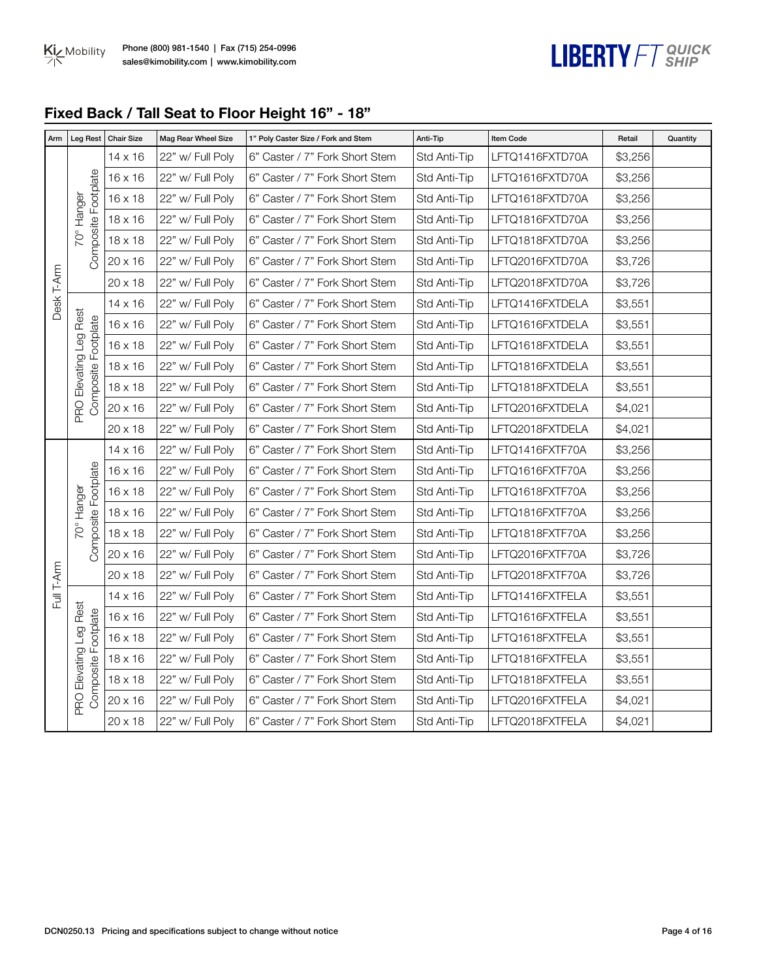# LIBERTY FT SHIP

## **Fixed Back / Tall Seat to Floor Height 16" - 18"**

| Arm        | <b>Leg Rest</b>                               | <b>Chair Size</b> | Mag Rear Wheel Size | 1" Poly Caster Size / Fork and Stem | Anti-Tip     | <b>Item Code</b> | Retail  | Quantity |
|------------|-----------------------------------------------|-------------------|---------------------|-------------------------------------|--------------|------------------|---------|----------|
|            |                                               | $14 \times 16$    | 22" w/ Full Poly    | 6" Caster / 7" Fork Short Stem      | Std Anti-Tip | LFTQ1416FXTD70A  | \$3,256 |          |
|            |                                               | $16 \times 16$    | 22" w/ Full Poly    | 6" Caster / 7" Fork Short Stem      | Std Anti-Tip | LFTQ1616FXTD70A  | \$3,256 |          |
|            |                                               | $16 \times 18$    | 22" w/ Full Poly    | 6" Caster / 7" Fork Short Stem      | Std Anti-Tip | LFTQ1618FXTD70A  | \$3,256 |          |
|            | 70° Hanger                                    | 18 x 16           | 22" w/ Full Poly    | 6" Caster / 7" Fork Short Stem      | Std Anti-Tip | LFTQ1816FXTD70A  | \$3,256 |          |
|            | Composite Footplate                           | $18 \times 18$    | 22" w/ Full Poly    | 6" Caster / 7" Fork Short Stem      | Std Anti-Tip | LFTQ1818FXTD70A  | \$3,256 |          |
|            |                                               | 20 x 16           | 22" w/ Full Poly    | 6" Caster / 7" Fork Short Stem      | Std Anti-Tip | LFTQ2016FXTD70A  | \$3,726 |          |
|            |                                               | $20 \times 18$    | 22" w/ Full Poly    | 6" Caster / 7" Fork Short Stem      | Std Anti-Tip | LFTQ2018FXTD70A  | \$3,726 |          |
| Desk T-Arm |                                               | $14 \times 16$    | 22" w/ Full Poly    | 6" Caster / 7" Fork Short Stem      | Std Anti-Tip | LFTQ1416FXTDELA  | \$3,551 |          |
|            | PRO Elevating Leg Rest<br>Composite Footplate | $16 \times 16$    | 22" w/ Full Poly    | 6" Caster / 7" Fork Short Stem      | Std Anti-Tip | LFTQ1616FXTDELA  | \$3,551 |          |
|            |                                               | $16 \times 18$    | 22" w/ Full Poly    | 6" Caster / 7" Fork Short Stem      | Std Anti-Tip | LFTQ1618FXTDELA  | \$3,551 |          |
|            |                                               | 18 x 16           | 22" w/ Full Poly    | 6" Caster / 7" Fork Short Stem      | Std Anti-Tip | LFTQ1816FXTDELA  | \$3,551 |          |
|            |                                               | 18 x 18           | 22" w/ Full Poly    | 6" Caster / 7" Fork Short Stem      | Std Anti-Tip | LFTQ1818FXTDELA  | \$3,551 |          |
|            |                                               | 20 x 16           | 22" w/ Full Poly    | 6" Caster / 7" Fork Short Stem      | Std Anti-Tip | LFTQ2016FXTDELA  | \$4,021 |          |
|            |                                               | $20 \times 18$    | 22" w/ Full Poly    | 6" Caster / 7" Fork Short Stem      | Std Anti-Tip | LFTQ2018FXTDELA  | \$4,021 |          |
|            |                                               | 14 x 16           | 22" w/ Full Poly    | 6" Caster / 7" Fork Short Stem      | Std Anti-Tip | LFTQ1416FXTF70A  | \$3,256 |          |
|            |                                               | 16 x 16           | 22" w/ Full Poly    | 6" Caster / 7" Fork Short Stem      | Std Anti-Tip | LFTQ1616FXTF70A  | \$3,256 |          |
|            | Composite Footplate                           | $16 \times 18$    | 22" w/ Full Poly    | 6" Caster / 7" Fork Short Stem      | Std Anti-Tip | LFTQ1618FXTF70A  | \$3,256 |          |
|            | 70° Hanger                                    | 18 x 16           | 22" w/ Full Poly    | 6" Caster / 7" Fork Short Stem      | Std Anti-Tip | LFTQ1816FXTF70A  | \$3,256 |          |
|            |                                               | 18 x 18           | 22" w/ Full Poly    | 6" Caster / 7" Fork Short Stem      | Std Anti-Tip | LFTQ1818FXTF70A  | \$3,256 |          |
|            |                                               | 20 x 16           | 22" w/ Full Poly    | 6" Caster / 7" Fork Short Stem      | Std Anti-Tip | LFTQ2016FXTF70A  | \$3,726 |          |
| Full T-Arm |                                               | 20 x 18           | 22" w/ Full Poly    | 6" Caster / 7" Fork Short Stem      | Std Anti-Tip | LFTQ2018FXTF70A  | \$3,726 |          |
|            |                                               | $14 \times 16$    | 22" w/ Full Poly    | 6" Caster / 7" Fork Short Stem      | Std Anti-Tip | LFTQ1416FXTFELA  | \$3,551 |          |
|            |                                               | 16 x 16           | 22" w/ Full Poly    | 6" Caster / 7" Fork Short Stem      | Std Anti-Tip | LFTQ1616FXTFELA  | \$3,551 |          |
|            |                                               | $16 \times 18$    | 22" w/ Full Poly    | 6" Caster / 7" Fork Short Stem      | Std Anti-Tip | LFTQ1618FXTFELA  | \$3,551 |          |
|            |                                               | 18 x 16           | 22" w/ Full Poly    | 6" Caster / 7" Fork Short Stem      | Std Anti-Tip | LFTQ1816FXTFELA  | \$3,551 |          |
|            | PRO Elevating Leg Rest<br>Composite Footplate | 18 x 18           | 22" w/ Full Poly    | 6" Caster / 7" Fork Short Stem      | Std Anti-Tip | LFTQ1818FXTFELA  | \$3,551 |          |
|            |                                               | 20 x 16           | 22" w/ Full Poly    | 6" Caster / 7" Fork Short Stem      | Std Anti-Tip | LFTQ2016FXTFELA  | \$4,021 |          |
|            |                                               | 20 x 18           | 22" w/ Full Poly    | 6" Caster / 7" Fork Short Stem      | Std Anti-Tip | LFTQ2018FXTFELA  | \$4,021 |          |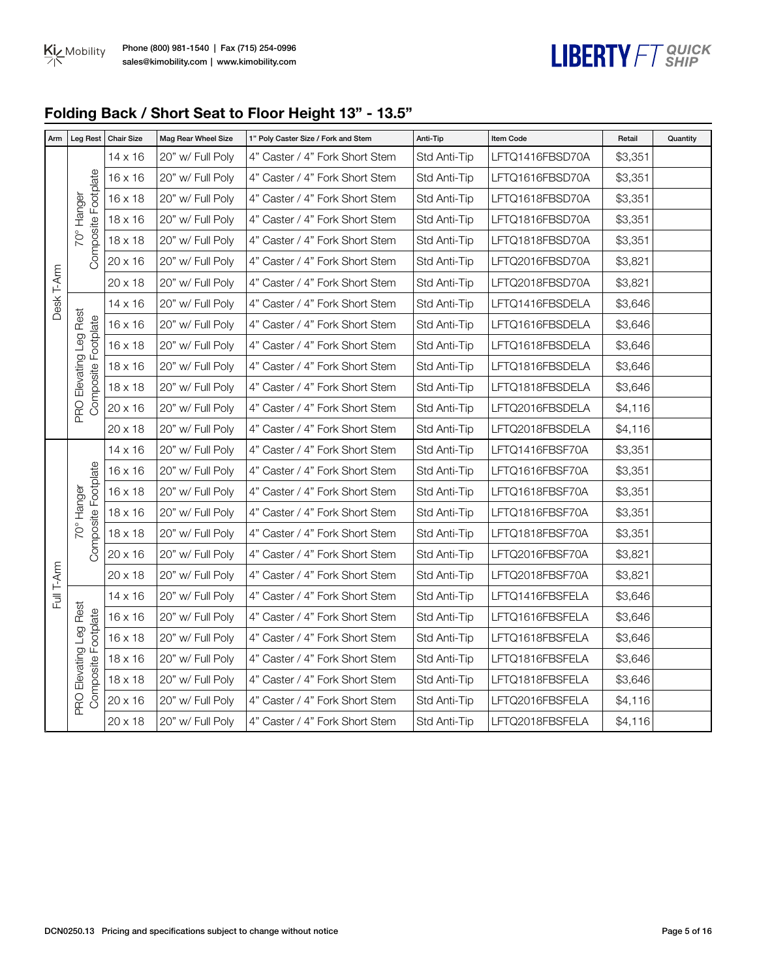

## **Folding Back / Short Seat to Floor Height 13" - 13.5"**

| Arm        | Leg Rest                                      | <b>Chair Size</b> | Mag Rear Wheel Size | 1" Poly Caster Size / Fork and Stem | Anti-Tip     | <b>Item Code</b> | Retail  | Quantity |
|------------|-----------------------------------------------|-------------------|---------------------|-------------------------------------|--------------|------------------|---------|----------|
|            |                                               | $14 \times 16$    | 20" w/ Full Poly    | 4" Caster / 4" Fork Short Stem      | Std Anti-Tip | LFTQ1416FBSD70A  | \$3,351 |          |
|            |                                               | $16 \times 16$    | 20" w/ Full Poly    | 4" Caster / 4" Fork Short Stem      | Std Anti-Tip | LFTQ1616FBSD70A  | \$3,351 |          |
|            | Composite Footplate                           | $16 \times 18$    | 20" w/ Full Poly    | 4" Caster / 4" Fork Short Stem      | Std Anti-Tip | LFTQ1618FBSD70A  | \$3,351 |          |
|            | 70° Hanger                                    | 18 x 16           | 20" w/ Full Poly    | 4" Caster / 4" Fork Short Stem      | Std Anti-Tip | LFTQ1816FBSD70A  | \$3,351 |          |
|            |                                               | 18 x 18           | 20" w/ Full Poly    | 4" Caster / 4" Fork Short Stem      | Std Anti-Tip | LFTQ1818FBSD70A  | \$3,351 |          |
|            |                                               | 20 x 16           | 20" w/ Full Poly    | 4" Caster / 4" Fork Short Stem      | Std Anti-Tip | LFTQ2016FBSD70A  | \$3,821 |          |
|            |                                               | 20 x 18           | 20" w/ Full Poly    | 4" Caster / 4" Fork Short Stem      | Std Anti-Tip | LFTQ2018FBSD70A  | \$3,821 |          |
| Desk T-Arm |                                               | $14 \times 16$    | 20" w/ Full Poly    | 4" Caster / 4" Fork Short Stem      | Std Anti-Tip | LFTQ1416FBSDELA  | \$3,646 |          |
|            |                                               | $16 \times 16$    | 20" w/ Full Poly    | 4" Caster / 4" Fork Short Stem      | Std Anti-Tip | LFTQ1616FBSDELA  | \$3,646 |          |
|            |                                               | $16 \times 18$    | 20" w/ Full Poly    | 4" Caster / 4" Fork Short Stem      | Std Anti-Tip | LFTQ1618FBSDELA  | \$3,646 |          |
|            | PRO Elevating Leg Rest<br>Composite Footplate | 18 x 16           | 20" w/ Full Poly    | 4" Caster / 4" Fork Short Stem      | Std Anti-Tip | LFTQ1816FBSDELA  | \$3,646 |          |
|            |                                               | 18 x 18           | 20" w/ Full Poly    | 4" Caster / 4" Fork Short Stem      | Std Anti-Tip | LFTQ1818FBSDELA  | \$3,646 |          |
|            |                                               | 20 x 16           | 20" w/ Full Poly    | 4" Caster / 4" Fork Short Stem      | Std Anti-Tip | LFTQ2016FBSDELA  | \$4,116 |          |
|            |                                               | 20 x 18           | 20" w/ Full Poly    | 4" Caster / 4" Fork Short Stem      | Std Anti-Tip | LFTQ2018FBSDELA  | \$4,116 |          |
|            |                                               | 14 x 16           | 20" w/ Full Poly    | 4" Caster / 4" Fork Short Stem      | Std Anti-Tip | LFTQ1416FBSF70A  | \$3,351 |          |
|            |                                               | $16 \times 16$    | 20" w/ Full Poly    | 4" Caster / 4" Fork Short Stem      | Std Anti-Tip | LFTQ1616FBSF70A  | \$3,351 |          |
|            | Composite Footplate                           | $16 \times 18$    | 20" w/ Full Poly    | 4" Caster / 4" Fork Short Stem      | Std Anti-Tip | LFTQ1618FBSF70A  | \$3,351 |          |
|            | 70° Hanger                                    | 18 x 16           | 20" w/ Full Poly    | 4" Caster / 4" Fork Short Stem      | Std Anti-Tip | LFTQ1816FBSF70A  | \$3,351 |          |
|            |                                               | $18 \times 18$    | 20" w/ Full Poly    | 4" Caster / 4" Fork Short Stem      | Std Anti-Tip | LFTQ1818FBSF70A  | \$3,351 |          |
|            |                                               | 20 x 16           | 20" w/ Full Poly    | 4" Caster / 4" Fork Short Stem      | Std Anti-Tip | LFTQ2016FBSF70A  | \$3,821 |          |
| Full T-Arm |                                               | 20 x 18           | 20" w/ Full Poly    | 4" Caster / 4" Fork Short Stem      | Std Anti-Tip | LFTQ2018FBSF70A  | \$3,821 |          |
|            |                                               | 14 x 16           | 20" w/ Full Poly    | 4" Caster / 4" Fork Short Stem      | Std Anti-Tip | LFTQ1416FBSFELA  | \$3,646 |          |
|            |                                               | 16 x 16           | 20" w/ Full Poly    | 4" Caster / 4" Fork Short Stem      | Std Anti-Tip | LFTQ1616FBSFELA  | \$3,646 |          |
|            |                                               | $16 \times 18$    | 20" w/ Full Poly    | 4" Caster / 4" Fork Short Stem      | Std Anti-Tip | LFTQ1618FBSFELA  | \$3,646 |          |
|            |                                               | 18 x 16           | 20" w/ Full Poly    | 4" Caster / 4" Fork Short Stem      | Std Anti-Tip | LFTQ1816FBSFELA  | \$3,646 |          |
|            | PRO Elevating Leg Rest<br>Composite Footplate | $18 \times 18$    | 20" w/ Full Poly    | 4" Caster / 4" Fork Short Stem      | Std Anti-Tip | LFTQ1818FBSFELA  | \$3,646 |          |
|            |                                               | 20 x 16           | 20" w/ Full Poly    | 4" Caster / 4" Fork Short Stem      | Std Anti-Tip | LFTQ2016FBSFELA  | \$4,116 |          |
|            |                                               | 20 x 18           | 20" w/ Full Poly    | 4" Caster / 4" Fork Short Stem      | Std Anti-Tip | LFTQ2018FBSFELA  | \$4,116 |          |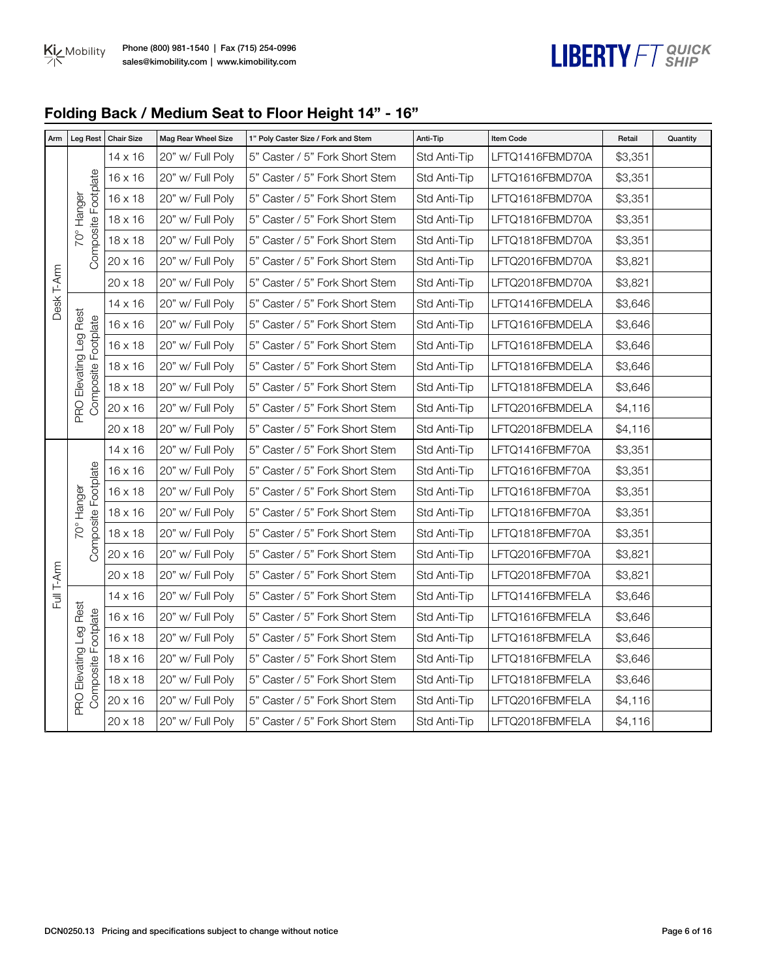

## **Folding Back / Medium Seat to Floor Height 14" - 16"**

| Arm        | <b>Leg Rest</b>                               | <b>Chair Size</b> | Mag Rear Wheel Size | 1" Poly Caster Size / Fork and Stem | Anti-Tip     | Item Code       | Retail  | Quantity |
|------------|-----------------------------------------------|-------------------|---------------------|-------------------------------------|--------------|-----------------|---------|----------|
|            |                                               | $14 \times 16$    | 20" w/ Full Poly    | 5" Caster / 5" Fork Short Stem      | Std Anti-Tip | LFTQ1416FBMD70A | \$3,351 |          |
|            |                                               | 16 x 16           | 20" w/ Full Poly    | 5" Caster / 5" Fork Short Stem      | Std Anti-Tip | LFTQ1616FBMD70A | \$3,351 |          |
|            |                                               | 16 x 18           | 20" w/ Full Poly    | 5" Caster / 5" Fork Short Stem      | Std Anti-Tip | LFTQ1618FBMD70A | \$3,351 |          |
|            | 70° Hanger                                    | 18 x 16           | 20" w/ Full Poly    | 5" Caster / 5" Fork Short Stem      | Std Anti-Tip | LFTQ1816FBMD70A | \$3,351 |          |
|            | Composite Footplate                           | $18 \times 18$    | 20" w/ Full Poly    | 5" Caster / 5" Fork Short Stem      | Std Anti-Tip | LFTQ1818FBMD70A | \$3,351 |          |
|            |                                               | 20 x 16           | 20" w/ Full Poly    | 5" Caster / 5" Fork Short Stem      | Std Anti-Tip | LFTQ2016FBMD70A | \$3,821 |          |
|            |                                               | 20 x 18           | 20" w/ Full Poly    | 5" Caster / 5" Fork Short Stem      | Std Anti-Tip | LFTQ2018FBMD70A | \$3,821 |          |
| Desk T-Arm |                                               | $14 \times 16$    | 20" w/ Full Poly    | 5" Caster / 5" Fork Short Stem      | Std Anti-Tip | LFTQ1416FBMDELA | \$3,646 |          |
|            | Elevating Leg Rest                            | $16 \times 16$    | 20" w/ Full Poly    | 5" Caster / 5" Fork Short Stem      | Std Anti-Tip | LFTQ1616FBMDELA | \$3,646 |          |
|            |                                               | $16 \times 18$    | 20" w/ Full Poly    | 5" Caster / 5" Fork Short Stem      | Std Anti-Tip | LFTQ1618FBMDELA | \$3,646 |          |
|            |                                               | $18 \times 16$    | 20" w/ Full Poly    | 5" Caster / 5" Fork Short Stem      | Std Anti-Tip | LFTQ1816FBMDELA | \$3,646 |          |
|            |                                               | $18 \times 18$    | 20" w/ Full Poly    | 5" Caster / 5" Fork Short Stem      | Std Anti-Tip | LFTQ1818FBMDELA | \$3,646 |          |
|            | Composite Footplate<br><b>PRO</b>             | 20 x 16           | 20" w/ Full Poly    | 5" Caster / 5" Fork Short Stem      | Std Anti-Tip | LFTQ2016FBMDELA | \$4,116 |          |
|            |                                               | 20 x 18           | 20" w/ Full Poly    | 5" Caster / 5" Fork Short Stem      | Std Anti-Tip | LFTQ2018FBMDELA | \$4,116 |          |
|            |                                               | 14 x 16           | 20" w/ Full Poly    | 5" Caster / 5" Fork Short Stem      | Std Anti-Tip | LFTQ1416FBMF70A | \$3,351 |          |
|            |                                               | $16 \times 16$    | 20" w/ Full Poly    | 5" Caster / 5" Fork Short Stem      | Std Anti-Tip | LFTQ1616FBMF70A | \$3,351 |          |
|            | Composite Footplate                           | $16 \times 18$    | 20" w/ Full Poly    | 5" Caster / 5" Fork Short Stem      | Std Anti-Tip | LFTQ1618FBMF70A | \$3,351 |          |
|            | 70° Hanger                                    | 18 x 16           | 20" w/ Full Poly    | 5" Caster / 5" Fork Short Stem      | Std Anti-Tip | LFTQ1816FBMF70A | \$3,351 |          |
|            |                                               | $18 \times 18$    | 20" w/ Full Poly    | 5" Caster / 5" Fork Short Stem      | Std Anti-Tip | LFTQ1818FBMF70A | \$3,351 |          |
|            |                                               | 20 x 16           | 20" w/ Full Poly    | 5" Caster / 5" Fork Short Stem      | Std Anti-Tip | LFTQ2016FBMF70A | \$3,821 |          |
| Full T-Arm |                                               | 20 x 18           | 20" w/ Full Poly    | 5" Caster / 5" Fork Short Stem      | Std Anti-Tip | LFTQ2018FBMF70A | \$3,821 |          |
|            |                                               | $14 \times 16$    | 20" w/ Full Poly    | 5" Caster / 5" Fork Short Stem      | Std Anti-Tip | LFTQ1416FBMFELA | \$3,646 |          |
|            |                                               | 16 x 16           | 20" w/ Full Poly    | 5" Caster / 5" Fork Short Stem      | Std Anti-Tip | LFTQ1616FBMFELA | \$3,646 |          |
|            |                                               | $16 \times 18$    | 20" w/ Full Poly    | 5" Caster / 5" Fork Short Stem      | Std Anti-Tip | LFTQ1618FBMFELA | \$3,646 |          |
|            |                                               | 18 x 16           | 20" w/ Full Poly    | 5" Caster / 5" Fork Short Stem      | Std Anti-Tip | LFTQ1816FBMFELA | \$3,646 |          |
|            | PRO Elevating Leg Rest<br>Composite Footplate | 18 x 18           | 20" w/ Full Poly    | 5" Caster / 5" Fork Short Stem      | Std Anti-Tip | LFTQ1818FBMFELA | \$3,646 |          |
|            |                                               | 20 x 16           | 20" w/ Full Poly    | 5" Caster / 5" Fork Short Stem      | Std Anti-Tip | LFTQ2016FBMFELA | \$4,116 |          |
|            |                                               | 20 x 18           | 20" w/ Full Poly    | 5" Caster / 5" Fork Short Stem      | Std Anti-Tip | LFTQ2018FBMFELA | \$4,116 |          |